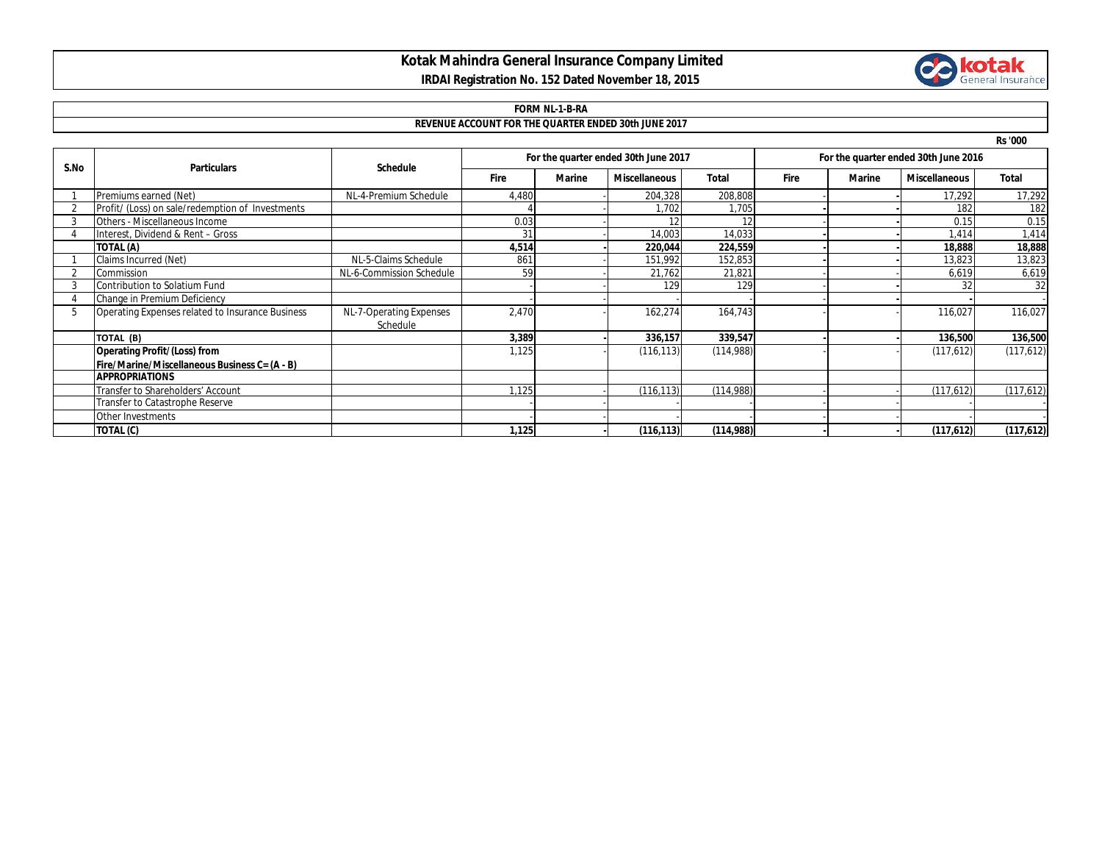### **Kotak Mahindra General Insurance Company Limited IRDAI Registration No. 152 Dated November 18, 2015**



# **FORM NL-1-B-RA**

### **REVENUE ACCOUNT FOR THE QUARTER ENDED 30th JUNE 2017**

**Rs '000**

| S.No | <b>Particulars</b>                               | <b>Schedule</b>                     | For the quarter ended 30th June 2017 |               |                      |              | For the quarter ended 30th June 2016 |        |                      |              |
|------|--------------------------------------------------|-------------------------------------|--------------------------------------|---------------|----------------------|--------------|--------------------------------------|--------|----------------------|--------------|
|      |                                                  |                                     | <b>Fire</b>                          | <b>Marine</b> | <b>Miscellaneous</b> | <b>Total</b> | <b>Fire</b>                          | Marine | <b>Miscellaneous</b> | <b>Total</b> |
|      | Premiums earned (Net)                            | NL-4-Premium Schedule               | 4,480                                |               | 204,328              | 208,808      |                                      |        | 17,292               | 17,292       |
|      | Profit/ (Loss) on sale/redemption of Investments |                                     |                                      |               | 1,702                | 1,705        |                                      |        | 182                  | 182          |
|      | Others - Miscellaneous Income                    |                                     | 0.03                                 |               |                      |              |                                      |        | 0.15                 | 0.15         |
|      | Interest, Dividend & Rent - Gross                |                                     | 31                                   |               | 14,003               | 14,033       |                                      |        | 1,414                | 1,414        |
|      | TOTAL (A)                                        |                                     | 4,514                                |               | 220,044              | 224,559      |                                      |        | 18,888               | 18,888       |
|      | Claims Incurred (Net)                            | NL-5-Claims Schedule                | 861                                  |               | 151,992              | 152,853      |                                      |        | 13,823               | 13,823       |
|      | Commission                                       | NL-6-Commission Schedule            | 59                                   |               | 21,762               | 21,821       |                                      |        | 6,619                | 6,619        |
|      | Contribution to Solatium Fund                    |                                     |                                      |               | 129                  | 129          |                                      |        | 32                   | 32           |
|      | Change in Premium Deficiency                     |                                     |                                      |               |                      |              |                                      |        |                      |              |
|      | Operating Expenses related to Insurance Business | NL-7-Operating Expenses<br>Schedule | 2,470                                |               | 162,274              | 164,743      |                                      |        | 116,027              | 116,027      |
|      | TOTAL (B)                                        |                                     | 3,389                                |               | 336,157              | 339,547      |                                      |        | 136,500              | 136,500      |
|      | <b>Operating Profit/(Loss) from</b>              |                                     | 1,125                                |               | (116, 113)           | (114,988)    |                                      |        | (117,612)            | (117,612)    |
|      | Fire/Marine/Miscellaneous Business C= (A - B)    |                                     |                                      |               |                      |              |                                      |        |                      |              |
|      | <b>APPROPRIATIONS</b>                            |                                     |                                      |               |                      |              |                                      |        |                      |              |
|      | Transfer to Shareholders' Account                |                                     | 1,125                                |               | (116, 113)           | (114,988)    |                                      |        | (117,612)            | (117, 612)   |
|      | Transfer to Catastrophe Reserve                  |                                     |                                      |               |                      |              |                                      |        |                      |              |
|      | Other Investments                                |                                     |                                      |               |                      |              |                                      |        |                      |              |
|      | TOTAL (C)                                        |                                     | 1,125                                |               | (116, 113)           | (114,988)    |                                      |        | (117,612)            | (117,612)    |